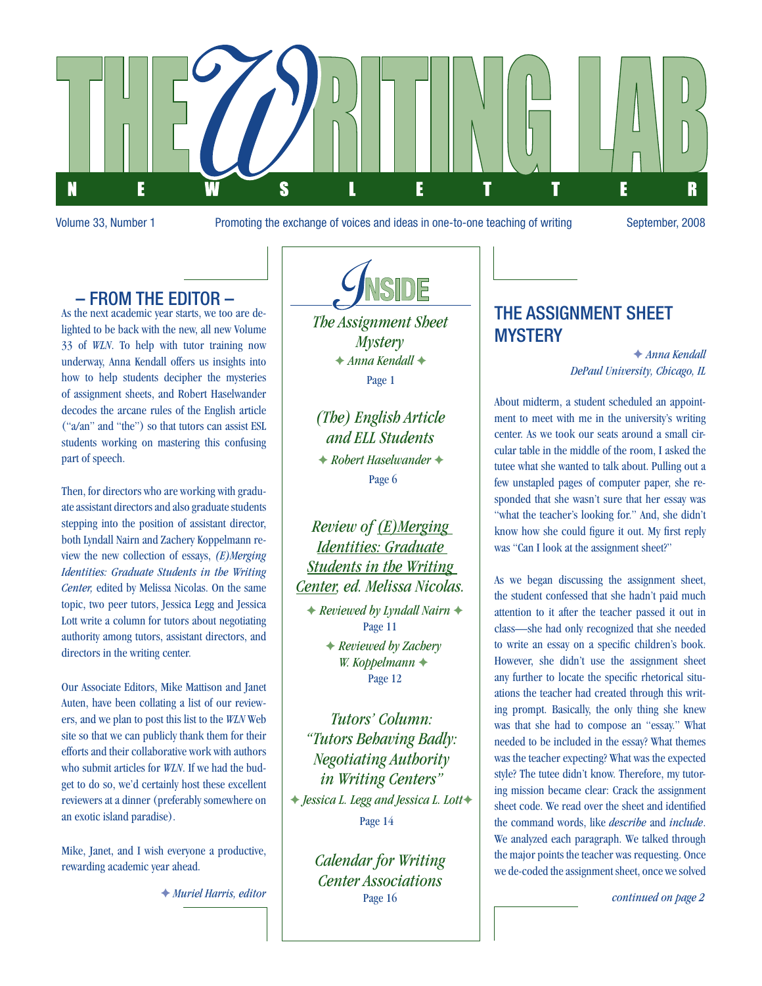

Volume 33, Number 1 Promoting the exchange of voices and ideas in one-to-one teaching of writing September, 2008

## – From the Editor –

As the next academic year starts, we too are delighted to be back with the new, all new Volume 33 of *WLN*. To help with tutor training now underway, Anna Kendall offers us insights into how to help students decipher the mysteries of assignment sheets, and Robert Haselwander decodes the arcane rules of the English article ("a/an" and "the") so that tutors can assist ESL students working on mastering this confusing part of speech.

Then, for directors who are working with graduate assistant directors and also graduate students stepping into the position of assistant director, both Lyndall Nairn and Zachery Koppelmann review the new collection of essays, *(E)Merging Identities: Graduate Students in the Writing Center,* edited by Melissa Nicolas. On the same topic, two peer tutors, Jessica Legg and Jessica Lott write a column for tutors about negotiating authority among tutors, assistant directors, and directors in the writing center.

Our Associate Editors, Mike Mattison and Janet Auten, have been collating a list of our reviewers, and we plan to post this list to the *WLN* Web site so that we can publicly thank them for their efforts and their collaborative work with authors who submit articles for *WLN*. If we had the budget to do so, we'd certainly host these excellent reviewers at a dinner (preferably somewhere on an exotic island paradise).

Mike, Janet, and I wish everyone a productive, rewarding academic year ahead.

F *Muriel Harris, editor*



*The Assignment Sheet Mystery*   $\rightarrow$  **Anna Kendall →** Page 1

*(The) English Article and ELL Students*  $\rightarrow$  **Robert Haselwander →** Page 6

*Review of (E)Merging Identities: Graduate Students in the Writing Center, ed. Melissa Nicolas.*

**★ Reviewed by Lyndall Nairn ◆** Page 11

> F *Reviewed by Zachery*  W. Koppelmann  $\triangleleft$ Page 12

*Tutors' Column: "Tutors Behaving Badly: Negotiating Authority in Writing Centers"* F *Jessica L. Legg and Jessica L. Lott*F Page 14

> *Calendar for Writing Center Associations* Page 16

## The Assignment Sheet **MYSTERY**

F *Anna Kendall DePaul University, Chicago, IL*

About midterm, a student scheduled an appointment to meet with me in the university's writing center. As we took our seats around a small circular table in the middle of the room, I asked the tutee what she wanted to talk about. Pulling out a few unstapled pages of computer paper, she responded that she wasn't sure that her essay was "what the teacher's looking for." And, she didn't know how she could figure it out. My first reply was "Can I look at the assignment sheet?"

As we began discussing the assignment sheet, the student confessed that she hadn't paid much attention to it after the teacher passed it out in class—she had only recognized that she needed to write an essay on a specific children's book. However, she didn't use the assignment sheet any further to locate the specific rhetorical situations the teacher had created through this writing prompt. Basically, the only thing she knew was that she had to compose an "essay." What needed to be included in the essay? What themes was the teacher expecting? What was the expected style? The tutee didn't know. Therefore, my tutoring mission became clear: Crack the assignment sheet code. We read over the sheet and identified the command words, like *describe* and *include*. We analyzed each paragraph. We talked through the major points the teacher was requesting. Once we de-coded the assignment sheet, once we solved

*continued on page 2*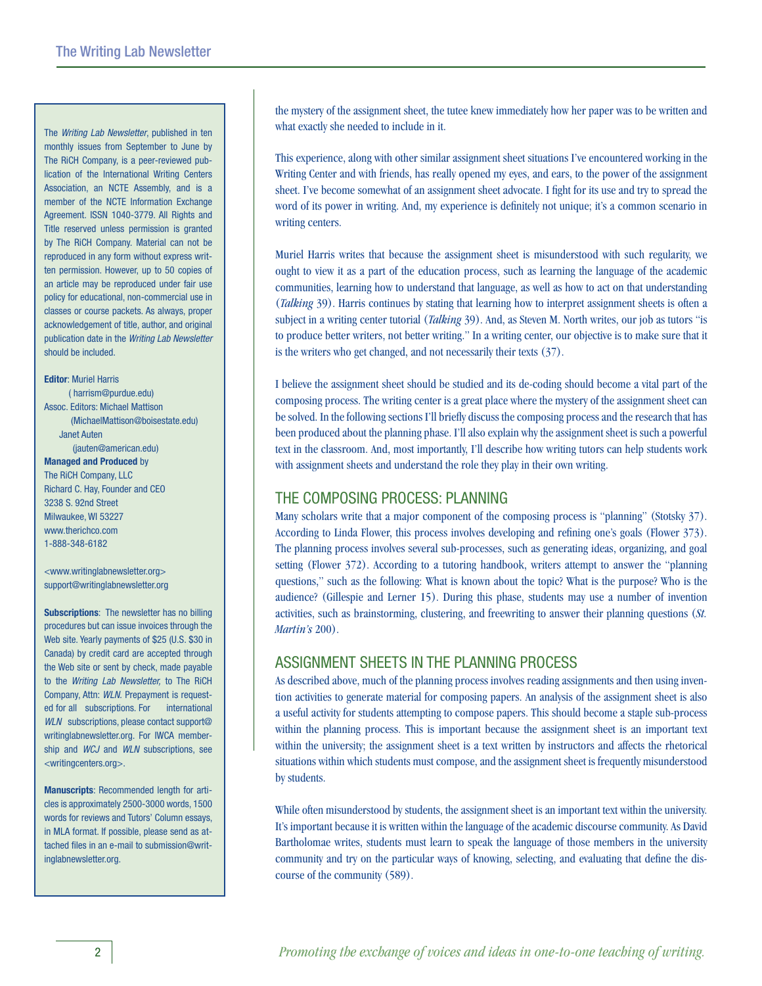The *Writing Lab Newsletter*, published in ten monthly issues from September to June by The RiCH Company, is a peer-reviewed publication of the International Writing Centers Association, an NCTE Assembly, and is a member of the NCTE Information Exchange Agreement. ISSN 1040-3779. All Rights and Title reserved unless permission is granted by The RiCH Company. Material can not be reproduced in any form without express written permission. However, up to 50 copies of an article may be reproduced under fair use policy for educational, non-commercial use in classes or course packets. As always, proper acknowledgement of title, author, and original publication date in the *Writing Lab Newsletter* should be included.

### **Editor**: Muriel Harris ( harrism@purdue.edu) Assoc. Editors: Michael Mattison (MichaelMattison@boisestate.edu) Janet Auten (jauten@american.edu) **Managed and Produced** by The RiCH Company, LLC Richard C. Hay, Founder and CEO 3238 S. 92nd Street Milwaukee, WI 53227 www.therichco.com 1-888-348-6182

<www.writinglabnewsletter.org> support@writinglabnewsletter.org

**Subscriptions**: The newsletter has no billing procedures but can issue invoices through the Web site. Yearly payments of \$25 (U.S. \$30 in Canada) by credit card are accepted through the Web site or sent by check, made payable to the *Writing Lab Newsletter,* to The RiCH Company, Attn: *WLN.* Prepayment is requested for all subscriptions. For international *WLN* subscriptions, please contact support@ writinglabnewsletter.org. For IWCA membership and *WCJ* and *WLN* subscriptions, see <writingcenters.org>.

**Manuscripts**: Recommended length for articles is approximately 2500-3000 words, 1500 words for reviews and Tutors' Column essays, in MLA format. If possible, please send as attached files in an e-mail to submission@writinglabnewsletter.org.

the mystery of the assignment sheet, the tutee knew immediately how her paper was to be written and what exactly she needed to include in it.

This experience, along with other similar assignment sheet situations I've encountered working in the Writing Center and with friends, has really opened my eyes, and ears, to the power of the assignment sheet. I've become somewhat of an assignment sheet advocate. I fight for its use and try to spread the word of its power in writing. And, my experience is definitely not unique; it's a common scenario in writing centers.

Muriel Harris writes that because the assignment sheet is misunderstood with such regularity, we ought to view it as a part of the education process, such as learning the language of the academic communities, learning how to understand that language, as well as how to act on that understanding (*Talking* 39). Harris continues by stating that learning how to interpret assignment sheets is often a subject in a writing center tutorial (*Talking* 39). And, as Steven M. North writes, our job as tutors "is to produce better writers, not better writing." In a writing center, our objective is to make sure that it is the writers who get changed, and not necessarily their texts (37).

I believe the assignment sheet should be studied and its de-coding should become a vital part of the composing process. The writing center is a great place where the mystery of the assignment sheet can be solved. In the following sections I'll briefly discuss the composing process and the research that has been produced about the planning phase. I'll also explain why the assignment sheet is such a powerful text in the classroom. And, most importantly, I'll describe how writing tutors can help students work with assignment sheets and understand the role they play in their own writing.

### The Composing Process: Planning

Many scholars write that a major component of the composing process is "planning" (Stotsky 37). According to Linda Flower, this process involves developing and refining one's goals (Flower 373). The planning process involves several sub-processes, such as generating ideas, organizing, and goal setting (Flower 372). According to a tutoring handbook, writers attempt to answer the "planning questions," such as the following: What is known about the topic? What is the purpose? Who is the audience? (Gillespie and Lerner 15). During this phase, students may use a number of invention activities, such as brainstorming, clustering, and freewriting to answer their planning questions (*St. Martin's* 200).

## Assignment Sheets in the Planning Process

As described above, much of the planning process involves reading assignments and then using invention activities to generate material for composing papers. An analysis of the assignment sheet is also a useful activity for students attempting to compose papers. This should become a staple sub-process within the planning process. This is important because the assignment sheet is an important text within the university; the assignment sheet is a text written by instructors and affects the rhetorical situations within which students must compose, and the assignment sheet is frequently misunderstood by students.

While often misunderstood by students, the assignment sheet is an important text within the university. It's important because it is written within the language of the academic discourse community. As David Bartholomae writes, students must learn to speak the language of those members in the university community and try on the particular ways of knowing, selecting, and evaluating that define the discourse of the community (589).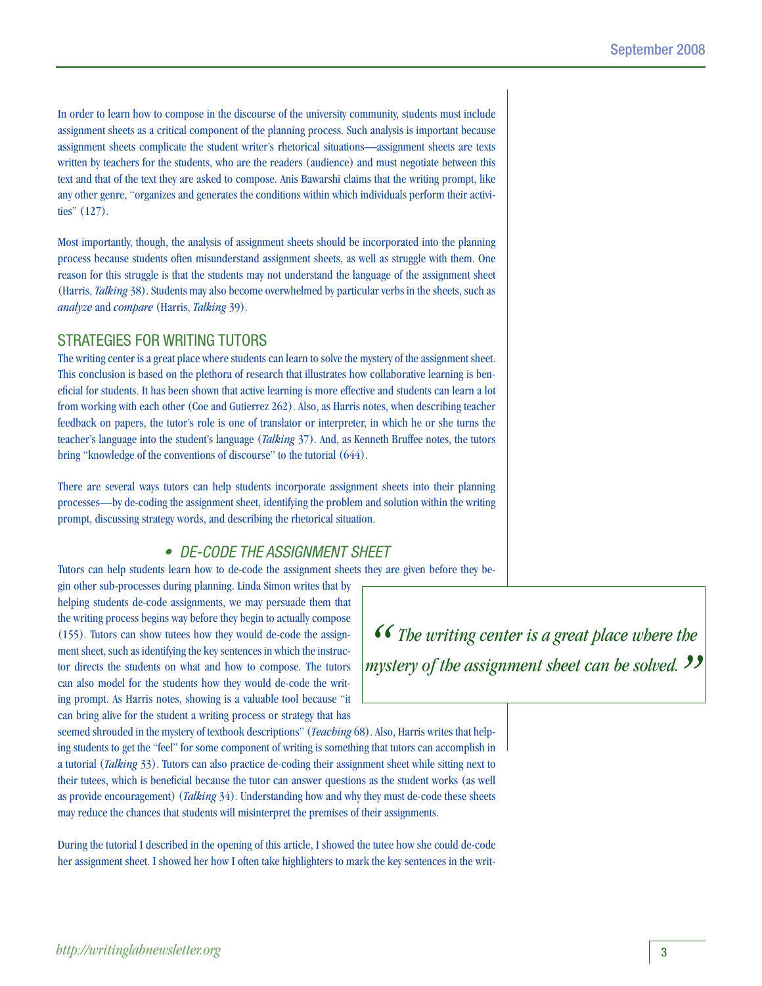In order to learn how to compose in the discourse of the university community, students must include assignment sheets as a critical component of the planning process. Such analysis is important because assignment sheets complicate the student writer's rhetorical situations—assignment sheets are texts written by teachers for the students, who are the readers (audience) and must negotiate between this text and that of the text they are asked to compose. Anis Bawarshi claims that the writing prompt, like any other genre, "organizes and generates the conditions within which individuals perform their activities" (127).

Most importantly, though, the analysis of assignment sheets should be incorporated into the planning process because students often misunderstand assignment sheets, as well as struggle with them. One reason for this struggle is that the students may not understand the language of the assignment sheet (Harris, *Talking* 38). Students may also become overwhelmed by particular verbs in the sheets, such as *analyze* and *compare* (Harris, *Talking* 39).

### Strategies for Writing Tutors

The writing center is a great place where students can learn to solve the mystery of the assignment sheet. This conclusion is based on the plethora of research that illustrates how collaborative learning is beneficial for students. It has been shown that active learning is more effective and students can learn a lot from working with each other (Coe and Gutierrez 262). Also, as Harris notes, when describing teacher feedback on papers, the tutor's role is one of translator or interpreter, in which he or she turns the teacher's language into the student's language (*Talking* 37). And, as Kenneth Bruffee notes, the tutors bring "knowledge of the conventions of discourse" to the tutorial (644).

There are several ways tutors can help students incorporate assignment sheets into their planning processes—by de-coding the assignment sheet, identifying the problem and solution within the writing prompt, discussing strategy words, and describing the rhetorical situation.

## *• De-Code the Assignment Sheet*

Tutors can help students learn how to de-code the assignment sheets they are given before they be-

gin other sub-processes during planning. Linda Simon writes that by helping students de-code assignments, we may persuade them that the writing process begins way before they begin to actually compose (155). Tutors can show tutees how they would de-code the assignment sheet, such as identifying the key sentences in which the instructor directs the students on what and how to compose. The tutors can also model for the students how they would de-code the writing prompt. As Harris notes, showing is a valuable tool because "it can bring alive for the student a writing process or strategy that has

*" The writing center is a great place where the mystery of the assignment sheet can be solved. "*

seemed shrouded in the mystery of textbook descriptions" (*Teaching* 68). Also, Harris writes that helping students to get the "feel" for some component of writing is something that tutors can accomplish in a tutorial (*Talking* 33). Tutors can also practice de-coding their assignment sheet while sitting next to their tutees, which is beneficial because the tutor can answer questions as the student works (as well as provide encouragement) (*Talking* 34). Understanding how and why they must de-code these sheets may reduce the chances that students will misinterpret the premises of their assignments.

During the tutorial I described in the opening of this article, I showed the tutee how she could de-code her assignment sheet. I showed her how I often take highlighters to mark the key sentences in the writ-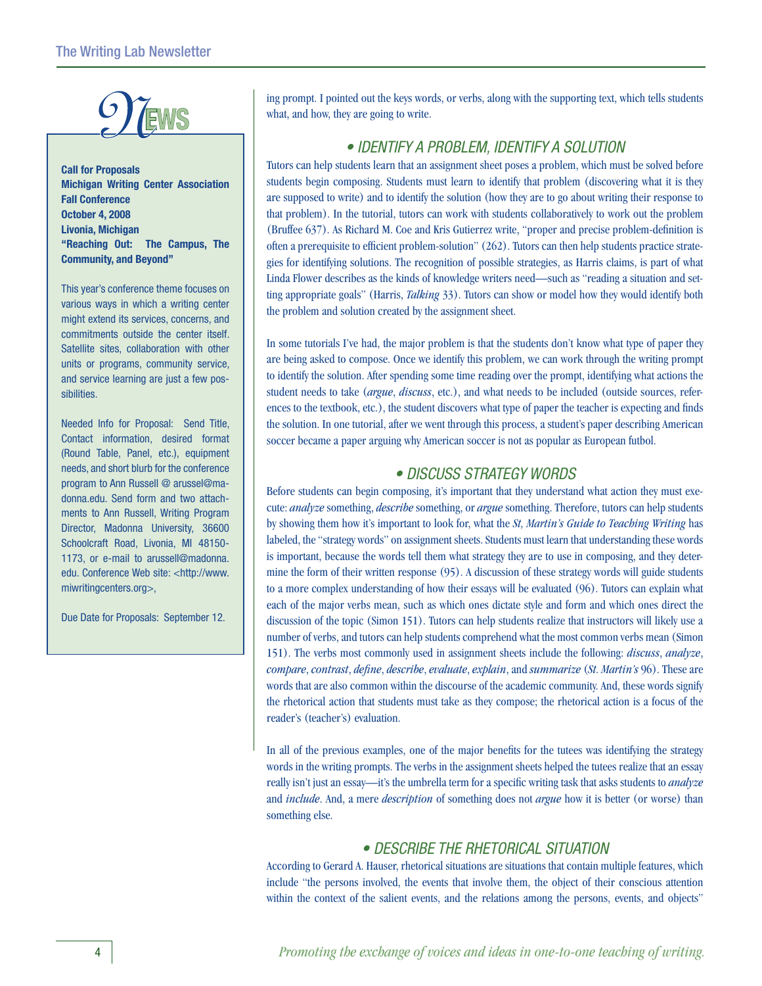

**Call for Proposals Michigan Writing Center Association Fall Conference October 4, 2008 Livonia, Michigan "Reaching Out: The Campus, The Community, and Beyond"**

This year's conference theme focuses on various ways in which a writing center might extend its services, concerns, and commitments outside the center itself. Satellite sites, collaboration with other units or programs, community service, and service learning are just a few possibilities.

Needed Info for Proposal: Send Title, Contact information, desired format (Round Table, Panel, etc.), equipment needs, and short blurb for the conference program to Ann Russell @ arussel@madonna.edu. Send form and two attachments to Ann Russell, Writing Program Director, Madonna University, 36600 Schoolcraft Road, Livonia, MI 48150- 1173, or e-mail to arussell@madonna. edu. Conference Web site: <http://www. miwritingcenters.org>,

Due Date for Proposals: September 12.

ing prompt. I pointed out the keys words, or verbs, along with the supporting text, which tells students what, and how, they are going to write.

## *• Identify a Problem, Identify a Solution*

Tutors can help students learn that an assignment sheet poses a problem, which must be solved before students begin composing. Students must learn to identify that problem (discovering what it is they are supposed to write) and to identify the solution (how they are to go about writing their response to that problem). In the tutorial, tutors can work with students collaboratively to work out the problem (Bruffee 637). As Richard M. Coe and Kris Gutierrez write, "proper and precise problem-definition is often a prerequisite to efficient problem-solution" (262). Tutors can then help students practice strategies for identifying solutions. The recognition of possible strategies, as Harris claims, is part of what Linda Flower describes as the kinds of knowledge writers need—such as "reading a situation and setting appropriate goals" (Harris, *Talking* 33). Tutors can show or model how they would identify both the problem and solution created by the assignment sheet.

In some tutorials I've had, the major problem is that the students don't know what type of paper they are being asked to compose. Once we identify this problem, we can work through the writing prompt to identify the solution. After spending some time reading over the prompt, identifying what actions the student needs to take (*argue*, *discuss*, etc.), and what needs to be included (outside sources, references to the textbook, etc.), the student discovers what type of paper the teacher is expecting and finds the solution. In one tutorial, after we went through this process, a student's paper describing American soccer became a paper arguing why American soccer is not as popular as European futbol.

## *• Discuss Strategy Words*

Before students can begin composing, it's important that they understand what action they must execute: *analyze* something, *describe* something, or *argue* something. Therefore, tutors can help students by showing them how it's important to look for, what the *St, Martin's Guide to Teaching Writing* has labeled, the "strategy words" on assignment sheets. Students must learn that understanding these words is important, because the words tell them what strategy they are to use in composing, and they determine the form of their written response (95). A discussion of these strategy words will guide students to a more complex understanding of how their essays will be evaluated (96). Tutors can explain what each of the major verbs mean, such as which ones dictate style and form and which ones direct the discussion of the topic (Simon 151). Tutors can help students realize that instructors will likely use a number of verbs, and tutors can help students comprehend what the most common verbs mean (Simon 151). The verbs most commonly used in assignment sheets include the following: *discuss*, *analyze*, *compare*, *contrast*, *define*, *describe*, *evaluate*, *explain*, and *summarize* (*St. Martin's* 96). These are words that are also common within the discourse of the academic community. And, these words signify the rhetorical action that students must take as they compose; the rhetorical action is a focus of the reader's (teacher's) evaluation.

In all of the previous examples, one of the major benefits for the tutees was identifying the strategy words in the writing prompts. The verbs in the assignment sheets helped the tutees realize that an essay really isn't just an essay—it's the umbrella term for a specific writing task that asks students to *analyze* and *include*. And, a mere *description* of something does not *argue* how it is better (or worse) than something else.

## *• Describe the Rhetorical Situation*

According to Gerard A. Hauser, rhetorical situations are situations that contain multiple features, which include "the persons involved, the events that involve them, the object of their conscious attention within the context of the salient events, and the relations among the persons, events, and objects"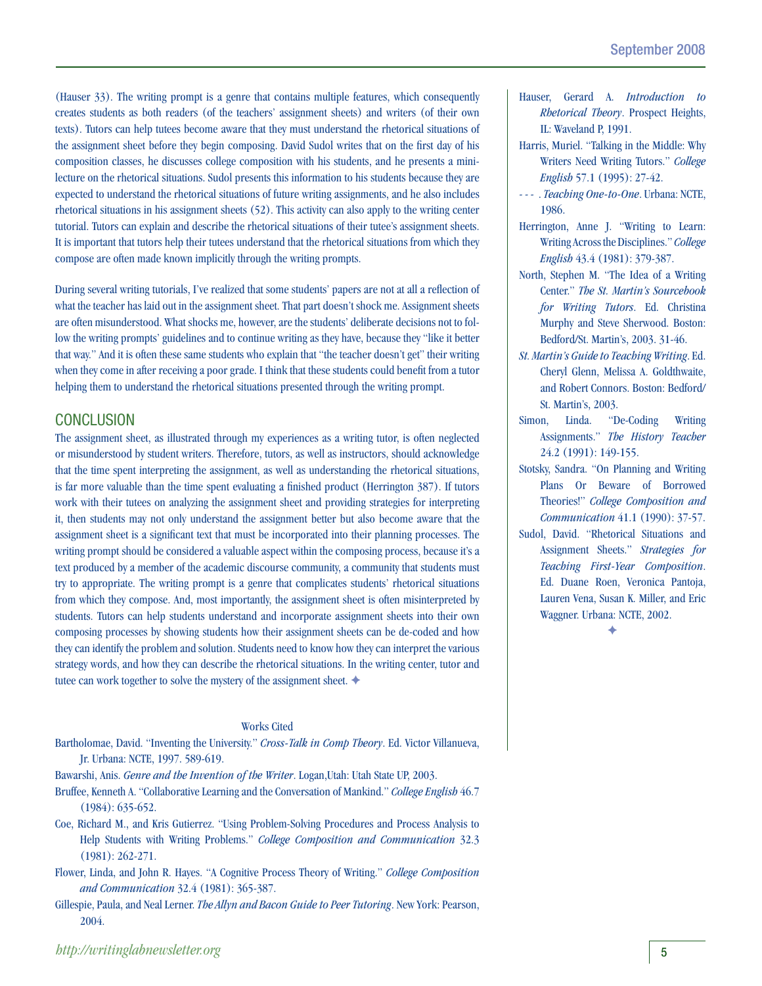(Hauser 33). The writing prompt is a genre that contains multiple features, which consequently creates students as both readers (of the teachers' assignment sheets) and writers (of their own texts). Tutors can help tutees become aware that they must understand the rhetorical situations of the assignment sheet before they begin composing. David Sudol writes that on the first day of his composition classes, he discusses college composition with his students, and he presents a minilecture on the rhetorical situations. Sudol presents this information to his students because they are expected to understand the rhetorical situations of future writing assignments, and he also includes rhetorical situations in his assignment sheets (52). This activity can also apply to the writing center tutorial. Tutors can explain and describe the rhetorical situations of their tutee's assignment sheets. It is important that tutors help their tutees understand that the rhetorical situations from which they compose are often made known implicitly through the writing prompts.

During several writing tutorials, I've realized that some students' papers are not at all a reflection of what the teacher has laid out in the assignment sheet. That part doesn't shock me. Assignment sheets are often misunderstood. What shocks me, however, are the students' deliberate decisions not to follow the writing prompts' guidelines and to continue writing as they have, because they "like it better that way." And it is often these same students who explain that "the teacher doesn't get" their writing when they come in after receiving a poor grade. I think that these students could benefit from a tutor helping them to understand the rhetorical situations presented through the writing prompt.

### **CONCLUSION**

The assignment sheet, as illustrated through my experiences as a writing tutor, is often neglected or misunderstood by student writers. Therefore, tutors, as well as instructors, should acknowledge that the time spent interpreting the assignment, as well as understanding the rhetorical situations, is far more valuable than the time spent evaluating a finished product (Herrington 387). If tutors work with their tutees on analyzing the assignment sheet and providing strategies for interpreting it, then students may not only understand the assignment better but also become aware that the assignment sheet is a significant text that must be incorporated into their planning processes. The writing prompt should be considered a valuable aspect within the composing process, because it's a text produced by a member of the academic discourse community, a community that students must try to appropriate. The writing prompt is a genre that complicates students' rhetorical situations from which they compose. And, most importantly, the assignment sheet is often misinterpreted by students. Tutors can help students understand and incorporate assignment sheets into their own composing processes by showing students how their assignment sheets can be de-coded and how they can identify the problem and solution. Students need to know how they can interpret the various strategy words, and how they can describe the rhetorical situations. In the writing center, tutor and tutee can work together to solve the mystery of the assignment sheet.  $\blacklozenge$ 

### Works Cited

Bartholomae, David. "Inventing the University." *Cross-Talk in Comp Theory*. Ed. Victor Villanueva, Jr. Urbana: NCTE, 1997. 589-619.

Bawarshi, Anis. *Genre and the Invention of the Writer*. Logan,Utah: Utah State UP, 2003.

- Bruffee, Kenneth A. "Collaborative Learning and the Conversation of Mankind." *College English* 46.7 (1984): 635-652.
- Coe, Richard M., and Kris Gutierrez. "Using Problem-Solving Procedures and Process Analysis to Help Students with Writing Problems." *College Composition and Communication* 32.3 (1981): 262-271.
- Flower, Linda, and John R. Hayes. "A Cognitive Process Theory of Writing." *College Composition and Communication* 32.4 (1981): 365-387.
- Gillespie, Paula, and Neal Lerner. *The Allyn and Bacon Guide to Peer Tutoring*. New York: Pearson, 2004.
- Hauser, Gerard A. *Introduction to Rhetorical Theory*. Prospect Heights, IL: Waveland P, 1991.
- Harris, Muriel. "Talking in the Middle: Why Writers Need Writing Tutors." *College English* 57.1 (1995): 27-42.
- - . *Teaching One-to-One*. Urbana: NCTE, 1986.
- Herrington, Anne J. "Writing to Learn: Writing Across the Disciplines." *College English* 43.4 (1981): 379-387.
- North, Stephen M. "The Idea of a Writing Center." *The St. Martin's Sourcebook for Writing Tutors*. Ed. Christina Murphy and Steve Sherwood. Boston: Bedford/St. Martin's, 2003. 31-46.
- *St. Martin's Guide to Teaching Writing*. Ed. Cheryl Glenn, Melissa A. Goldthwaite, and Robert Connors. Boston: Bedford/ St. Martin's, 2003.
- Simon, Linda. "De-Coding Writing Assignments." *The History Teacher* 24.2 (1991): 149-155.
- Stotsky, Sandra. "On Planning and Writing Plans Or Beware of Borrowed Theories!" *College Composition and Communication* 41.1 (1990): 37-57.
- Sudol, David. "Rhetorical Situations and Assignment Sheets." *Strategies for Teaching First-Year Composition*. Ed. Duane Roen, Veronica Pantoja, Lauren Vena, Susan K. Miller, and Eric Waggner. Urbana: NCTE, 2002.

 $\blacklozenge$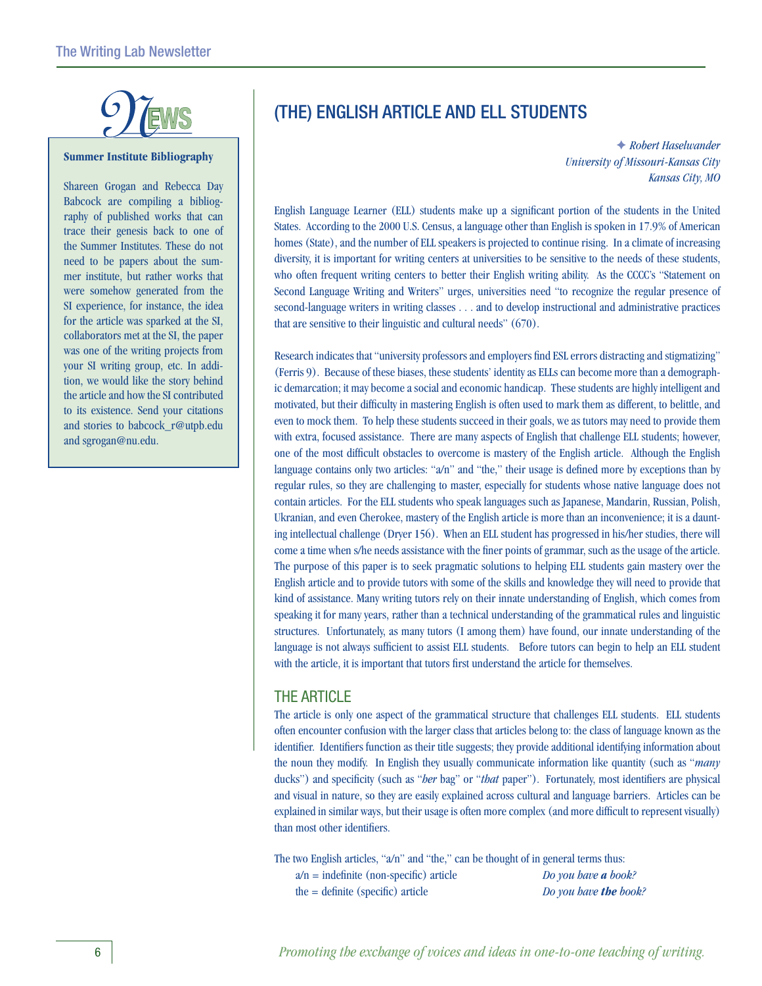

### **Summer Institute Bibliography**

Shareen Grogan and Rebecca Day Babcock are compiling a bibliography of published works that can trace their genesis back to one of the Summer Institutes. These do not need to be papers about the summer institute, but rather works that were somehow generated from the SI experience, for instance, the idea for the article was sparked at the SI, collaborators met at the SI, the paper was one of the writing projects from your SI writing group, etc. In addition, we would like the story behind the article and how the SI contributed to its existence. Send your citations and stories to babcock\_r@utpb.edu and sgrogan@nu.edu.

## (The) English Article and ELL Students

F *Robert Haselwander University of Missouri-Kansas City Kansas City, MO*

English Language Learner (ELL) students make up a significant portion of the students in the United States. According to the 2000 U.S. Census, a language other than English is spoken in 17.9% of American homes (State), and the number of ELL speakers is projected to continue rising. In a climate of increasing diversity, it is important for writing centers at universities to be sensitive to the needs of these students, who often frequent writing centers to better their English writing ability. As the CCCC's "Statement on Second Language Writing and Writers" urges, universities need "to recognize the regular presence of second-language writers in writing classes . . . and to develop instructional and administrative practices that are sensitive to their linguistic and cultural needs" (670).

Research indicates that "university professors and employers find ESL errors distracting and stigmatizing" (Ferris 9). Because of these biases, these students' identity as ELLs can become more than a demographic demarcation; it may become a social and economic handicap. These students are highly intelligent and motivated, but their difficulty in mastering English is often used to mark them as different, to belittle, and even to mock them. To help these students succeed in their goals, we as tutors may need to provide them with extra, focused assistance. There are many aspects of English that challenge ELL students; however, one of the most difficult obstacles to overcome is mastery of the English article. Although the English language contains only two articles: "a/n" and "the," their usage is defined more by exceptions than by regular rules, so they are challenging to master, especially for students whose native language does not contain articles. For the ELL students who speak languages such as Japanese, Mandarin, Russian, Polish, Ukranian, and even Cherokee, mastery of the English article is more than an inconvenience; it is a daunting intellectual challenge (Dryer 156). When an ELL student has progressed in his/her studies, there will come a time when s/he needs assistance with the finer points of grammar, such as the usage of the article. The purpose of this paper is to seek pragmatic solutions to helping ELL students gain mastery over the English article and to provide tutors with some of the skills and knowledge they will need to provide that kind of assistance. Many writing tutors rely on their innate understanding of English, which comes from speaking it for many years, rather than a technical understanding of the grammatical rules and linguistic structures. Unfortunately, as many tutors (I among them) have found, our innate understanding of the language is not always sufficient to assist ELL students. Before tutors can begin to help an ELL student with the article, it is important that tutors first understand the article for themselves.

### The Article

The article is only one aspect of the grammatical structure that challenges ELL students. ELL students often encounter confusion with the larger class that articles belong to: the class of language known as the identifier. Identifiers function as their title suggests; they provide additional identifying information about the noun they modify. In English they usually communicate information like quantity (such as "*many* ducks") and specificity (such as "*her* bag" or "*that* paper"). Fortunately, most identifiers are physical and visual in nature, so they are easily explained across cultural and language barriers. Articles can be explained in similar ways, but their usage is often more complex (and more difficult to represent visually) than most other identifiers.

The two English articles, "a/n" and "the," can be thought of in general terms thus:

a/n = indefinite (non-specific) article *Do you have a book?* the = definite (specific) article *Do you have the book?*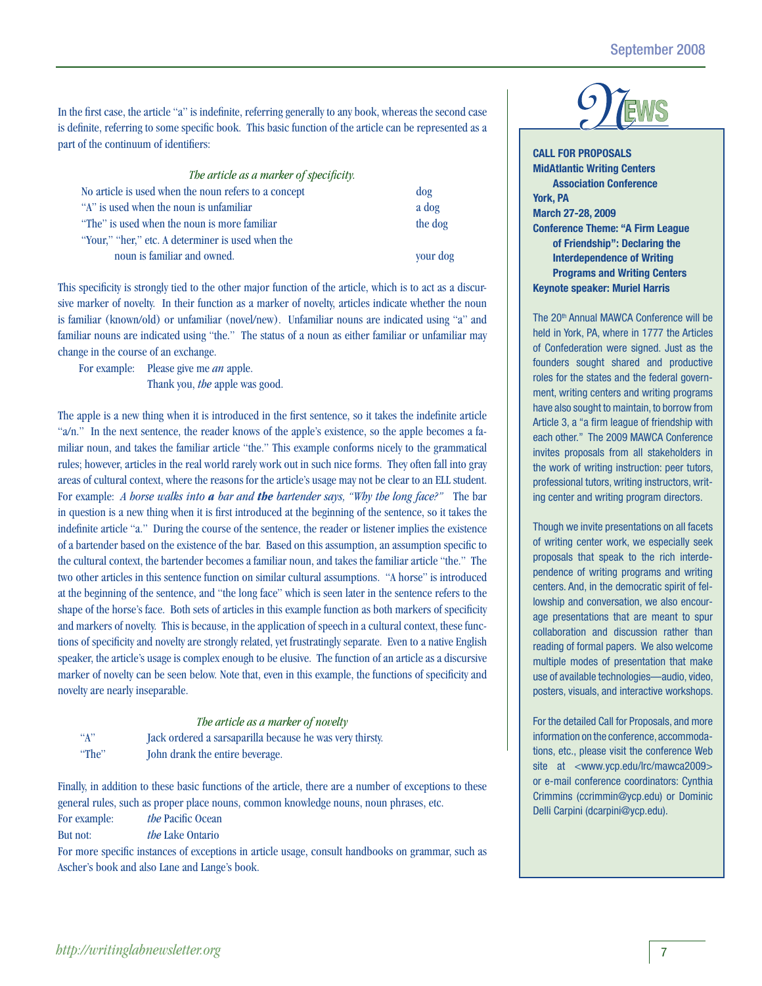In the first case, the article "a" is indefinite, referring generally to any book, whereas the second case is definite, referring to some specific book. This basic function of the article can be represented as a part of the continuum of identifiers:

| The article as a marker of specificity.              |          |
|------------------------------------------------------|----------|
| No article is used when the noun refers to a concept | $\log$   |
| "A" is used when the noun is unfamiliar              | a dog    |
| "The" is used when the noun is more familiar         | the dog  |
| "Your," "her," etc. A determiner is used when the    |          |
| noun is familiar and owned.                          | your dog |

This specificity is strongly tied to the other major function of the article, which is to act as a discursive marker of novelty. In their function as a marker of novelty, articles indicate whether the noun is familiar (known/old) or unfamiliar (novel/new). Unfamiliar nouns are indicated using "a" and familiar nouns are indicated using "the." The status of a noun as either familiar or unfamiliar may change in the course of an exchange.

For example: Please give me *an* apple. Thank you, *the* apple was good.

The apple is a new thing when it is introduced in the first sentence, so it takes the indefinite article "a/n." In the next sentence, the reader knows of the apple's existence, so the apple becomes a familiar noun, and takes the familiar article "the." This example conforms nicely to the grammatical rules; however, articles in the real world rarely work out in such nice forms. They often fall into gray areas of cultural context, where the reasons for the article's usage may not be clear to an ELL student. For example: *A horse walks into a bar and the bartender says, "Why the long face?"* The bar in question is a new thing when it is first introduced at the beginning of the sentence, so it takes the indefinite article "a." During the course of the sentence, the reader or listener implies the existence of a bartender based on the existence of the bar. Based on this assumption, an assumption specific to the cultural context, the bartender becomes a familiar noun, and takes the familiar article "the." The two other articles in this sentence function on similar cultural assumptions. "A horse" is introduced at the beginning of the sentence, and "the long face" which is seen later in the sentence refers to the shape of the horse's face. Both sets of articles in this example function as both markers of specificity and markers of novelty. This is because, in the application of speech in a cultural context, these functions of specificity and novelty are strongly related, yet frustratingly separate. Even to a native English speaker, the article's usage is complex enough to be elusive. The function of an article as a discursive marker of novelty can be seen below. Note that, even in this example, the functions of specificity and novelty are nearly inseparable.

#### *The article as a marker of novelty*

| ``A"  | Jack ordered a sarsaparilla because he was very thirsty. |
|-------|----------------------------------------------------------|
| "The" | John drank the entire beverage.                          |

Finally, in addition to these basic functions of the article, there are a number of exceptions to these general rules, such as proper place nouns, common knowledge nouns, noun phrases, etc. For example: *the* Pacific Ocean

But not: *the* Lake Ontario

For more specific instances of exceptions in article usage, consult handbooks on grammar, such as Ascher's book and also Lane and Lange's book.

**CALL FOR PROPOSALS MidAtlantic Writing Centers Association Conference York, PA March 27-28, 2009 Conference Theme: "A Firm League of Friendship": Declaring the Interdependence of Writing Programs and Writing Centers Keynote speaker: Muriel Harris**

The 20<sup>th</sup> Annual MAWCA Conference will be held in York, PA, where in 1777 the Articles of Confederation were signed. Just as the founders sought shared and productive roles for the states and the federal government, writing centers and writing programs have also sought to maintain, to borrow from Article 3, a "a firm league of friendship with each other." The 2009 MAWCA Conference invites proposals from all stakeholders in the work of writing instruction: peer tutors, professional tutors, writing instructors, writing center and writing program directors.

Though we invite presentations on all facets of writing center work, we especially seek proposals that speak to the rich interdependence of writing programs and writing centers. And, in the democratic spirit of fellowship and conversation, we also encourage presentations that are meant to spur collaboration and discussion rather than reading of formal papers. We also welcome multiple modes of presentation that make use of available technologies—audio, video, posters, visuals, and interactive workshops.

For the detailed Call for Proposals, and more information on the conference, accommodations, etc., please visit the conference Web site at <www.ycp.edu/lrc/mawca2009> or e-mail conference coordinators: Cynthia Crimmins (ccrimmin@ycp.edu) or Dominic Delli Carpini (dcarpini@ycp.edu).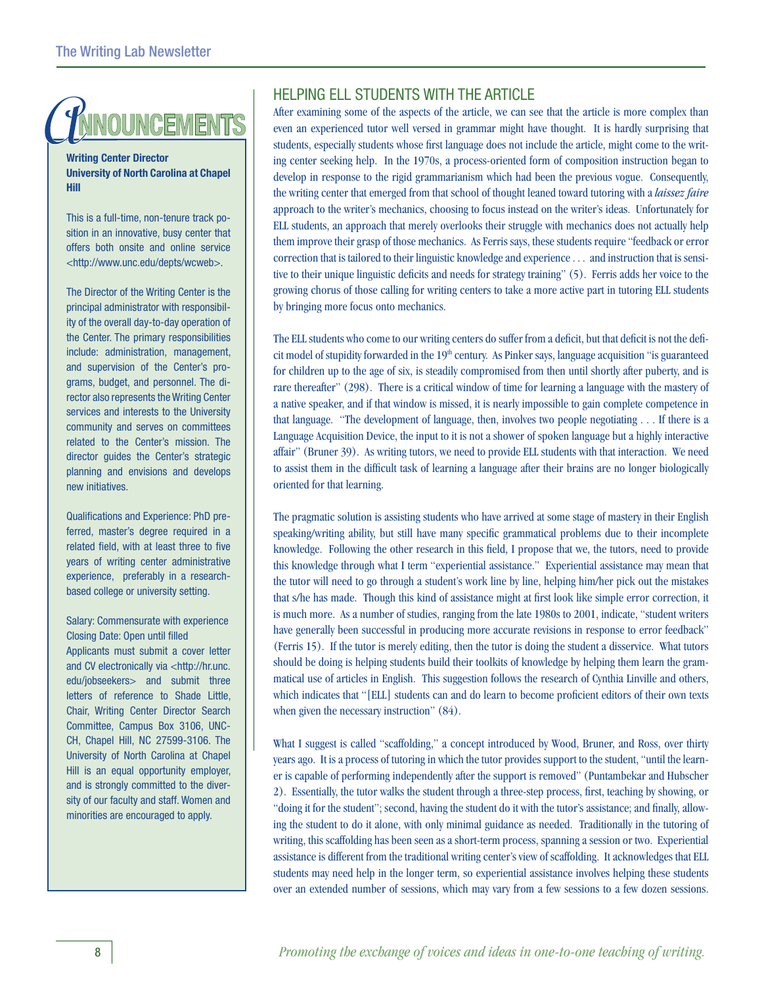## **NNOUNCEMENTS**

**Writing Center Director University of North Carolina at Chapel Hill** 

This is a full-time, non-tenure track position in an innovative, busy center that offers both onsite and online service <http://www.unc.edu/depts/wcweb>.

The Director of the Writing Center is the principal administrator with responsibility of the overall day-to-day operation of the Center. The primary responsibilities include: administration, management, and supervision of the Center's programs, budget, and personnel. The director also represents the Writing Center services and interests to the University community and serves on committees related to the Center's mission. The director guides the Center's strategic planning and envisions and develops new initiatives.

Qualifications and Experience: PhD preferred, master's degree required in a related field, with at least three to five years of writing center administrative experience, preferably in a researchbased college or university setting.

Salary: Commensurate with experience Closing Date: Open until filled Applicants must submit a cover letter and CV electronically via <http://hr.unc. edu/jobseekers> and submit three letters of reference to Shade Little, Chair, Writing Center Director Search Committee, Campus Box 3106, UNC-CH, Chapel Hill, NC 27599-3106. The University of North Carolina at Chapel Hill is an equal opportunity employer, and is strongly committed to the diversity of our faculty and staff. Women and minorities are encouraged to apply.

## Helping ELL Students with the Article

After examining some of the aspects of the article, we can see that the article is more complex than even an experienced tutor well versed in grammar might have thought. It is hardly surprising that students, especially students whose first language does not include the article, might come to the writing center seeking help. In the 1970s, a process-oriented form of composition instruction began to develop in response to the rigid grammarianism which had been the previous vogue. Consequently, the writing center that emerged from that school of thought leaned toward tutoring with a *laissez faire*  approach to the writer's mechanics, choosing to focus instead on the writer's ideas. Unfortunately for ELL students, an approach that merely overlooks their struggle with mechanics does not actually help them improve their grasp of those mechanics. As Ferris says, these students require "feedback or error correction that is tailored to their linguistic knowledge and experience . . . and instruction that is sensitive to their unique linguistic deficits and needs for strategy training" (5). Ferris adds her voice to the growing chorus of those calling for writing centers to take a more active part in tutoring ELL students by bringing more focus onto mechanics.

The ELL students who come to our writing centers do suffer from a deficit, but that deficit is not the deficit model of stupidity forwarded in the 19<sup>th</sup> century. As Pinker says, language acquisition "is guaranteed for children up to the age of six, is steadily compromised from then until shortly after puberty, and is rare thereafter" (298). There is a critical window of time for learning a language with the mastery of a native speaker, and if that window is missed, it is nearly impossible to gain complete competence in that language. "The development of language, then, involves two people negotiating . . . If there is a Language Acquisition Device, the input to it is not a shower of spoken language but a highly interactive affair" (Bruner 39). As writing tutors, we need to provide ELL students with that interaction. We need to assist them in the difficult task of learning a language after their brains are no longer biologically oriented for that learning.

The pragmatic solution is assisting students who have arrived at some stage of mastery in their English speaking/writing ability, but still have many specific grammatical problems due to their incomplete knowledge. Following the other research in this field, I propose that we, the tutors, need to provide this knowledge through what I term "experiential assistance." Experiential assistance may mean that the tutor will need to go through a student's work line by line, helping him/her pick out the mistakes that s/he has made. Though this kind of assistance might at first look like simple error correction, it is much more. As a number of studies, ranging from the late 1980s to 2001, indicate, "student writers have generally been successful in producing more accurate revisions in response to error feedback" (Ferris 15). If the tutor is merely editing, then the tutor is doing the student a disservice. What tutors should be doing is helping students build their toolkits of knowledge by helping them learn the grammatical use of articles in English. This suggestion follows the research of Cynthia Linville and others, which indicates that "[ELL] students can and do learn to become proficient editors of their own texts when given the necessary instruction" (84).

What I suggest is called "scaffolding," a concept introduced by Wood, Bruner, and Ross, over thirty years ago. It is a process of tutoring in which the tutor provides support to the student, "until the learner is capable of performing independently after the support is removed" (Puntambekar and Hubscher 2). Essentially, the tutor walks the student through a three-step process, first, teaching by showing, or "doing it for the student"; second, having the student do it with the tutor's assistance; and finally, allowing the student to do it alone, with only minimal guidance as needed. Traditionally in the tutoring of writing, this scaffolding has been seen as a short-term process, spanning a session or two. Experiential assistance is different from the traditional writing center's view of scaffolding. It acknowledges that ELL students may need help in the longer term, so experiential assistance involves helping these students over an extended number of sessions, which may vary from a few sessions to a few dozen sessions.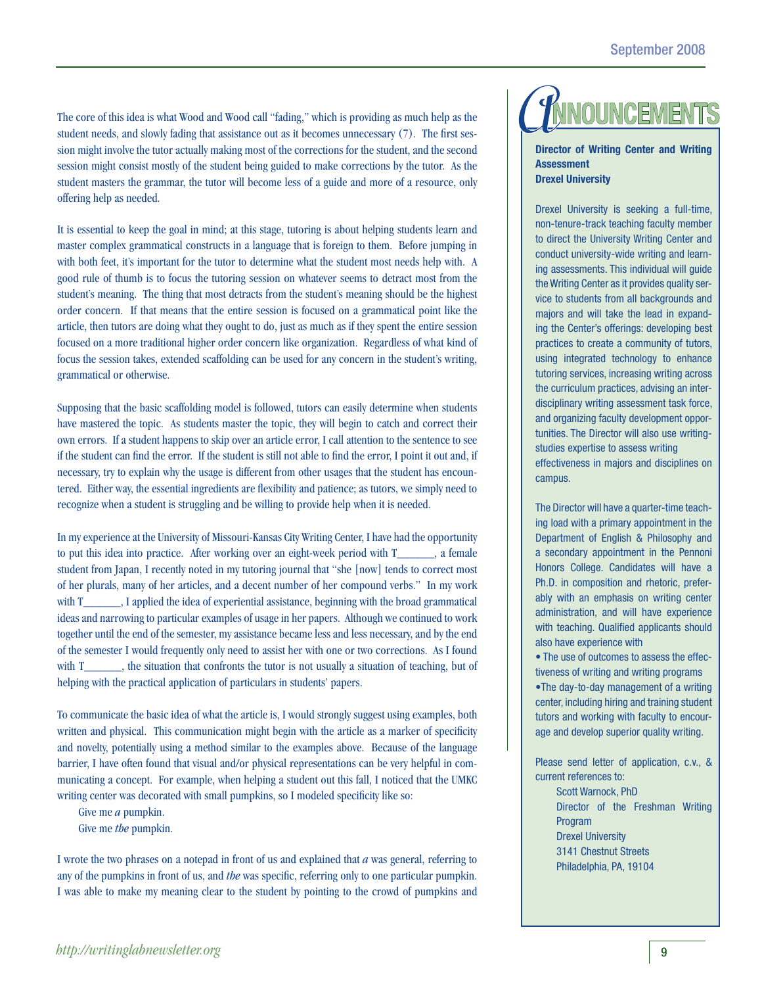The core of this idea is what Wood and Wood call "fading," which is providing as much help as the student needs, and slowly fading that assistance out as it becomes unnecessary (7). The first session might involve the tutor actually making most of the corrections for the student, and the second session might consist mostly of the student being guided to make corrections by the tutor. As the student masters the grammar, the tutor will become less of a guide and more of a resource, only offering help as needed.

It is essential to keep the goal in mind; at this stage, tutoring is about helping students learn and master complex grammatical constructs in a language that is foreign to them. Before jumping in with both feet, it's important for the tutor to determine what the student most needs help with. A good rule of thumb is to focus the tutoring session on whatever seems to detract most from the student's meaning. The thing that most detracts from the student's meaning should be the highest order concern. If that means that the entire session is focused on a grammatical point like the article, then tutors are doing what they ought to do, just as much as if they spent the entire session focused on a more traditional higher order concern like organization. Regardless of what kind of focus the session takes, extended scaffolding can be used for any concern in the student's writing, grammatical or otherwise.

Supposing that the basic scaffolding model is followed, tutors can easily determine when students have mastered the topic. As students master the topic, they will begin to catch and correct their own errors. If a student happens to skip over an article error, I call attention to the sentence to see if the student can find the error. If the student is still not able to find the error, I point it out and, if necessary, try to explain why the usage is different from other usages that the student has encountered. Either way, the essential ingredients are flexibility and patience; as tutors, we simply need to recognize when a student is struggling and be willing to provide help when it is needed.

In my experience at the University of Missouri-Kansas City Writing Center, I have had the opportunity to put this idea into practice. After working over an eight-week period with T\_\_\_\_\_\_, a female student from Japan, I recently noted in my tutoring journal that "she [now] tends to correct most of her plurals, many of her articles, and a decent number of her compound verbs." In my work with T\_\_\_\_\_\_, I applied the idea of experiential assistance, beginning with the broad grammatical ideas and narrowing to particular examples of usage in her papers. Although we continued to work together until the end of the semester, my assistance became less and less necessary, and by the end of the semester I would frequently only need to assist her with one or two corrections. As I found with T\_\_\_\_\_, the situation that confronts the tutor is not usually a situation of teaching, but of helping with the practical application of particulars in students' papers.

To communicate the basic idea of what the article is, I would strongly suggest using examples, both written and physical. This communication might begin with the article as a marker of specificity and novelty, potentially using a method similar to the examples above. Because of the language barrier, I have often found that visual and/or physical representations can be very helpful in communicating a concept. For example, when helping a student out this fall, I noticed that the UMKC writing center was decorated with small pumpkins, so I modeled specificity like so:

Give me *a* pumpkin. Give me *the* pumpkin.

I wrote the two phrases on a notepad in front of us and explained that *a* was general, referring to any of the pumpkins in front of us, and *the* was specific, referring only to one particular pumpkin. I was able to make my meaning clear to the student by pointing to the crowd of pumpkins and

## **NNOUNCEMENT**

**Director of Writing Center and Writing Assessment Drexel University**

Drexel University is seeking a full-time, non-tenure-track teaching faculty member to direct the University Writing Center and conduct university-wide writing and learning assessments. This individual will guide the Writing Center as it provides quality service to students from all backgrounds and majors and will take the lead in expanding the Center's offerings: developing best practices to create a community of tutors, using integrated technology to enhance tutoring services, increasing writing across the curriculum practices, advising an interdisciplinary writing assessment task force, and organizing faculty development opportunities. The Director will also use writingstudies expertise to assess writing effectiveness in majors and disciplines on campus.

The Director will have a quarter-time teaching load with a primary appointment in the Department of English & Philosophy and a secondary appointment in the Pennoni Honors College. Candidates will have a Ph.D. in composition and rhetoric, preferably with an emphasis on writing center administration, and will have experience with teaching. Qualified applicants should also have experience with

• The use of outcomes to assess the effectiveness of writing and writing programs

•The day-to-day management of a writing center, including hiring and training student tutors and working with faculty to encourage and develop superior quality writing.

Please send letter of application, c.v., & current references to:

> Scott Warnock, PhD Director of the Freshman Writing Program Drexel University 3141 Chestnut Streets Philadelphia, PA, 19104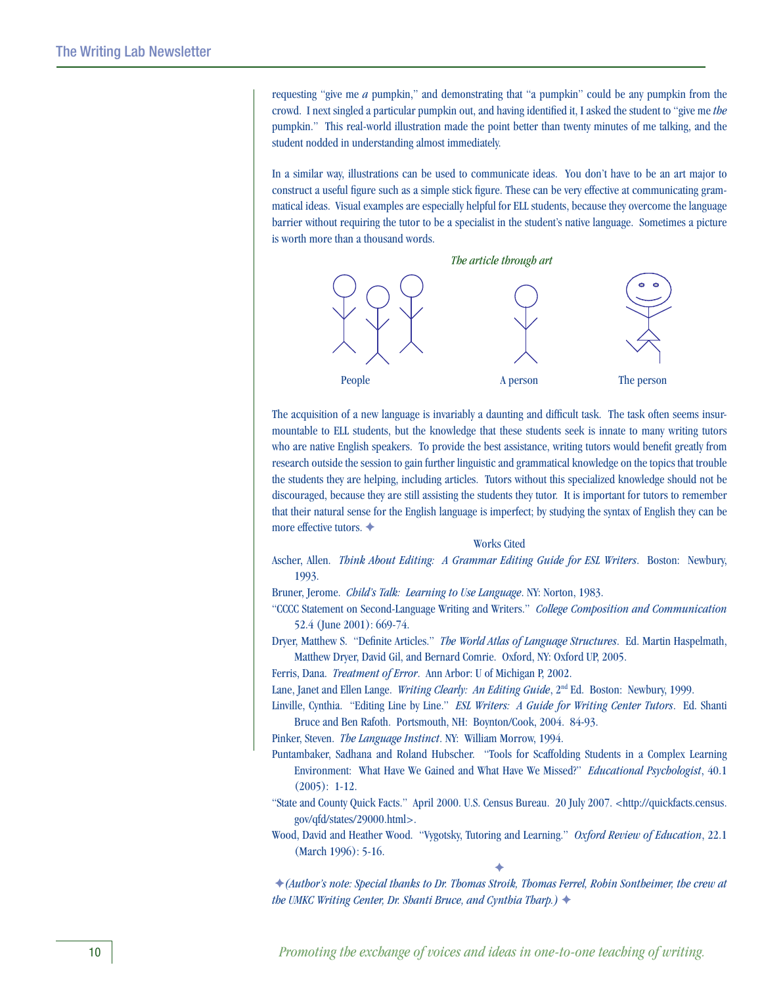requesting "give me *a* pumpkin," and demonstrating that "a pumpkin" could be any pumpkin from the crowd. I next singled a particular pumpkin out, and having identified it, I asked the student to "give me *the* pumpkin." This real-world illustration made the point better than twenty minutes of me talking, and the student nodded in understanding almost immediately.

In a similar way, illustrations can be used to communicate ideas. You don't have to be an art major to construct a useful figure such as a simple stick figure. These can be very effective at communicating grammatical ideas. Visual examples are especially helpful for ELL students, because they overcome the language barrier without requiring the tutor to be a specialist in the student's native language. Sometimes a picture is worth more than a thousand words.



The acquisition of a new language is invariably a daunting and difficult task. The task often seems insurmountable to ELL students, but the knowledge that these students seek is innate to many writing tutors who are native English speakers. To provide the best assistance, writing tutors would benefit greatly from research outside the session to gain further linguistic and grammatical knowledge on the topics that trouble the students they are helping, including articles. Tutors without this specialized knowledge should not be discouraged, because they are still assisting the students they tutor. It is important for tutors to remember that their natural sense for the English language is imperfect; by studying the syntax of English they can be more effective tutors.  $\triangleleft$ 

#### Works Cited

Ascher, Allen. *Think About Editing: A Grammar Editing Guide for ESL Writers*. Boston: Newbury, 1993.

Bruner, Jerome. *Child's Talk: Learning to Use Language*. NY: Norton, 1983.

"CCCC Statement on Second-Language Writing and Writers." *College Composition and Communication* 52.4 (June 2001): 669-74.

Dryer, Matthew S. "Definite Articles." *The World Atlas of Language Structures*. Ed. Martin Haspelmath, Matthew Dryer, David Gil, and Bernard Comrie. Oxford, NY: Oxford UP, 2005.

Ferris, Dana. *Treatment of Error*. Ann Arbor: U of Michigan P, 2002.

Lane, Janet and Ellen Lange. *Writing Clearly: An Editing Guide*, 2<sup>nd</sup> Ed. Boston: Newbury, 1999.

Linville, Cynthia. "Editing Line by Line." *ESL Writers: A Guide for Writing Center Tutors*. Ed. Shanti Bruce and Ben Rafoth. Portsmouth, NH: Boynton/Cook, 2004. 84-93.

Pinker, Steven. *The Language Instinct*. NY: William Morrow, 1994.

- Puntambaker, Sadhana and Roland Hubscher. "Tools for Scaffolding Students in a Complex Learning Environment: What Have We Gained and What Have We Missed?" *Educational Psychologist*, 40.1 (2005): 1-12.
- "State and County Quick Facts." April 2000. U.S. Census Bureau. 20 July 2007. <http://quickfacts.census. gov/qfd/states/29000.html>.
- Wood, David and Heather Wood. "Vygotsky, Tutoring and Learning." *Oxford Review of Education*, 22.1 (March 1996): 5-16.  $\blacklozenge$

F*(Author's note: Special thanks to Dr. Thomas Stroik, Thomas Ferrel, Robin Sontheimer, the crew at the UMKC Writing Center, Dr. Shanti Bruce, and Cynthia Tharp.*) ♦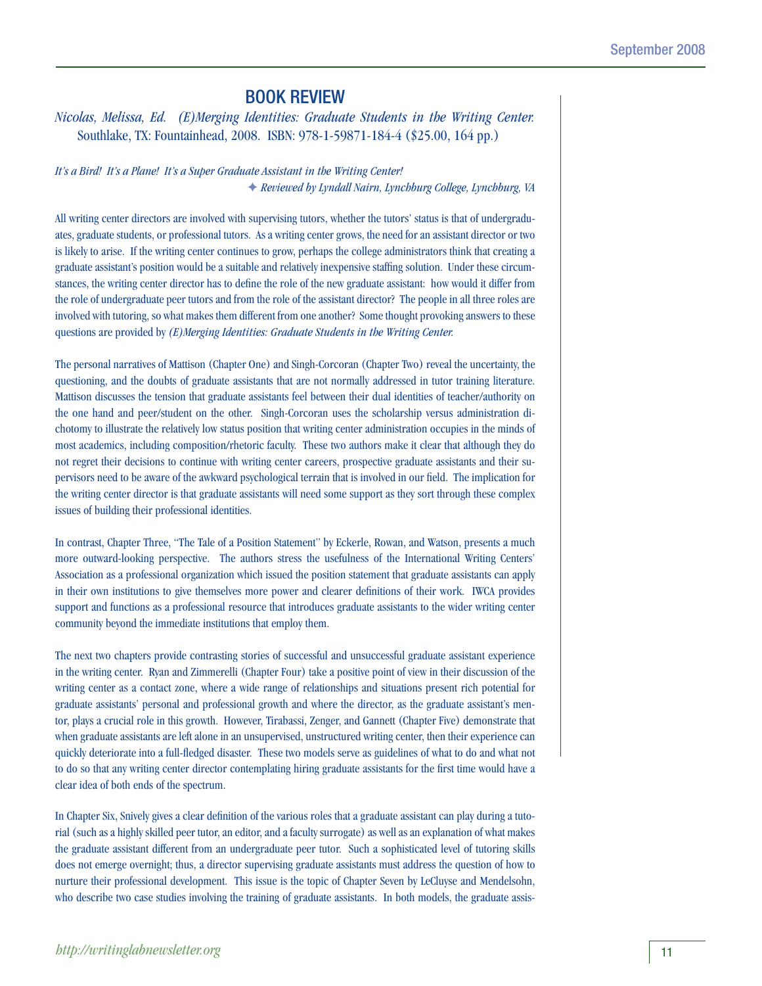## Book Review

*Nicolas, Melissa, Ed. (E)Merging Identities: Graduate Students in the Writing Center.* Southlake, TX: Fountainhead, 2008. ISBN: 978-1-59871-184-4 (\$25.00, 164 pp.)

*It's a Bird! It's a Plane! It's a Super Graduate Assistant in the Writing Center!* F *Reviewed by Lyndall Nairn, Lynchburg College, Lynchburg, VA*

All writing center directors are involved with supervising tutors, whether the tutors' status is that of undergraduates, graduate students, or professional tutors. As a writing center grows, the need for an assistant director or two is likely to arise. If the writing center continues to grow, perhaps the college administrators think that creating a graduate assistant's position would be a suitable and relatively inexpensive staffing solution. Under these circumstances, the writing center director has to define the role of the new graduate assistant: how would it differ from the role of undergraduate peer tutors and from the role of the assistant director? The people in all three roles are involved with tutoring, so what makes them different from one another? Some thought provoking answers to these questions are provided by *(E)Merging Identities: Graduate Students in the Writing Center.*

The personal narratives of Mattison (Chapter One) and Singh-Corcoran (Chapter Two) reveal the uncertainty, the questioning, and the doubts of graduate assistants that are not normally addressed in tutor training literature. Mattison discusses the tension that graduate assistants feel between their dual identities of teacher/authority on the one hand and peer/student on the other. Singh-Corcoran uses the scholarship versus administration dichotomy to illustrate the relatively low status position that writing center administration occupies in the minds of most academics, including composition/rhetoric faculty. These two authors make it clear that although they do not regret their decisions to continue with writing center careers, prospective graduate assistants and their supervisors need to be aware of the awkward psychological terrain that is involved in our field. The implication for the writing center director is that graduate assistants will need some support as they sort through these complex issues of building their professional identities.

In contrast, Chapter Three, "The Tale of a Position Statement" by Eckerle, Rowan, and Watson, presents a much more outward-looking perspective. The authors stress the usefulness of the International Writing Centers' Association as a professional organization which issued the position statement that graduate assistants can apply in their own institutions to give themselves more power and clearer definitions of their work. IWCA provides support and functions as a professional resource that introduces graduate assistants to the wider writing center community beyond the immediate institutions that employ them.

The next two chapters provide contrasting stories of successful and unsuccessful graduate assistant experience in the writing center. Ryan and Zimmerelli (Chapter Four) take a positive point of view in their discussion of the writing center as a contact zone, where a wide range of relationships and situations present rich potential for graduate assistants' personal and professional growth and where the director, as the graduate assistant's mentor, plays a crucial role in this growth. However, Tirabassi, Zenger, and Gannett (Chapter Five) demonstrate that when graduate assistants are left alone in an unsupervised, unstructured writing center, then their experience can quickly deteriorate into a full-fledged disaster. These two models serve as guidelines of what to do and what not to do so that any writing center director contemplating hiring graduate assistants for the first time would have a clear idea of both ends of the spectrum.

In Chapter Six, Snively gives a clear definition of the various roles that a graduate assistant can play during a tutorial (such as a highly skilled peer tutor, an editor, and a faculty surrogate) as well as an explanation of what makes the graduate assistant different from an undergraduate peer tutor. Such a sophisticated level of tutoring skills does not emerge overnight; thus, a director supervising graduate assistants must address the question of how to nurture their professional development. This issue is the topic of Chapter Seven by LeCluyse and Mendelsohn, who describe two case studies involving the training of graduate assistants. In both models, the graduate assis-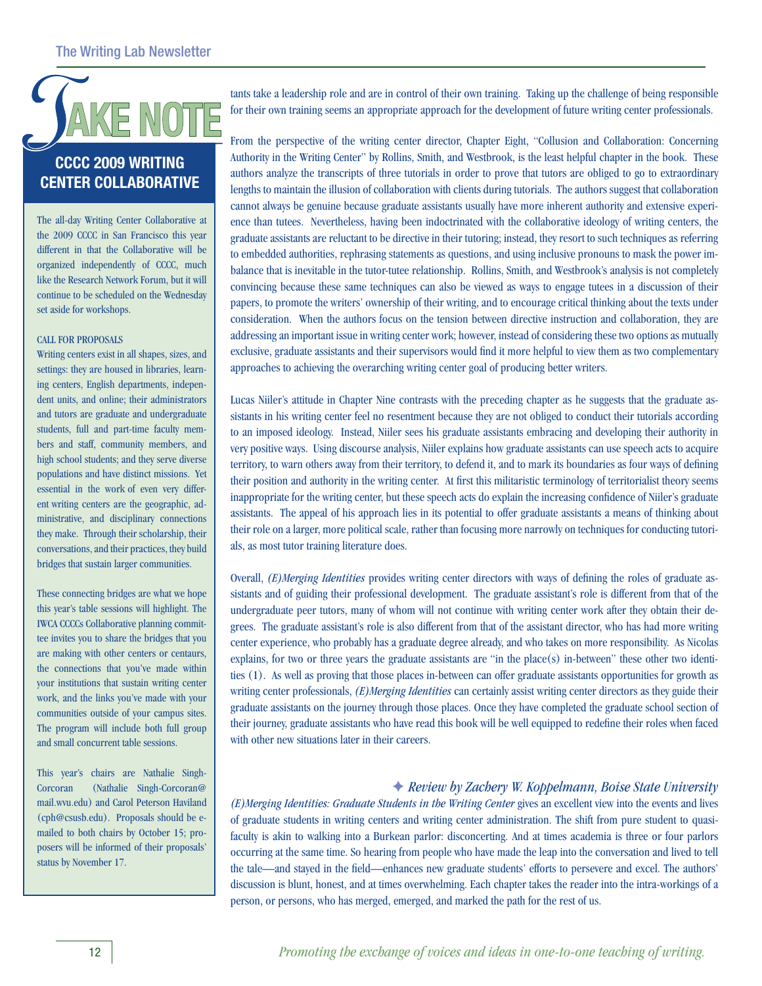

## **CCCC 2009 writing center Collaborative**

The all-day Writing Center Collaborative at the 2009 CCCC in San Francisco this year different in that the Collaborative will be organized independently of CCCC, much like the Research Network Forum, but it will continue to be scheduled on the Wednesday set aside for workshops.

### CALL FOR PROPOSALS

Writing centers exist in all shapes, sizes, and settings: they are housed in libraries, learning centers, English departments, independent units, and online; their administrators and tutors are graduate and undergraduate students, full and part-time faculty members and staff, community members, and high school students; and they serve diverse populations and have distinct missions. Yet essential in the work of even very different writing centers are the geographic, administrative, and disciplinary connections they make. Through their scholarship, their conversations, and their practices, they build bridges that sustain larger communities.

These connecting bridges are what we hope this year's table sessions will highlight. The IWCA CCCCs Collaborative planning committee invites you to share the bridges that you are making with other centers or centaurs, the connections that you've made within your institutions that sustain writing center work, and the links you've made with your communities outside of your campus sites. The program will include both full group and small concurrent table sessions.

This year's chairs are Nathalie Singh-Corcoran (Nathalie Singh-Corcoran@ mail.wvu.edu) and Carol Peterson Haviland (cph@csusb.edu). Proposals should be emailed to both chairs by October 15; proposers will be informed of their proposals' status by November 17.

tants take a leadership role and are in control of their own training. Taking up the challenge of being responsible for their own training seems an appropriate approach for the development of future writing center professionals.

From the perspective of the writing center director, Chapter Eight, "Collusion and Collaboration: Concerning Authority in the Writing Center" by Rollins, Smith, and Westbrook, is the least helpful chapter in the book. These authors analyze the transcripts of three tutorials in order to prove that tutors are obliged to go to extraordinary lengths to maintain the illusion of collaboration with clients during tutorials. The authors suggest that collaboration cannot always be genuine because graduate assistants usually have more inherent authority and extensive experience than tutees. Nevertheless, having been indoctrinated with the collaborative ideology of writing centers, the graduate assistants are reluctant to be directive in their tutoring; instead, they resort to such techniques as referring to embedded authorities, rephrasing statements as questions, and using inclusive pronouns to mask the power imbalance that is inevitable in the tutor-tutee relationship. Rollins, Smith, and Westbrook's analysis is not completely convincing because these same techniques can also be viewed as ways to engage tutees in a discussion of their papers, to promote the writers' ownership of their writing, and to encourage critical thinking about the texts under consideration. When the authors focus on the tension between directive instruction and collaboration, they are addressing an important issue in writing center work; however, instead of considering these two options as mutually exclusive, graduate assistants and their supervisors would find it more helpful to view them as two complementary approaches to achieving the overarching writing center goal of producing better writers.

Lucas Niiler's attitude in Chapter Nine contrasts with the preceding chapter as he suggests that the graduate assistants in his writing center feel no resentment because they are not obliged to conduct their tutorials according to an imposed ideology. Instead, Niiler sees his graduate assistants embracing and developing their authority in very positive ways. Using discourse analysis, Niiler explains how graduate assistants can use speech acts to acquire territory, to warn others away from their territory, to defend it, and to mark its boundaries as four ways of defining their position and authority in the writing center. At first this militaristic terminology of territorialist theory seems inappropriate for the writing center, but these speech acts do explain the increasing confidence of Niiler's graduate assistants. The appeal of his approach lies in its potential to offer graduate assistants a means of thinking about their role on a larger, more political scale, rather than focusing more narrowly on techniques for conducting tutorials, as most tutor training literature does.

Overall, *(E)Merging Identities* provides writing center directors with ways of defining the roles of graduate assistants and of guiding their professional development. The graduate assistant's role is different from that of the undergraduate peer tutors, many of whom will not continue with writing center work after they obtain their degrees. The graduate assistant's role is also different from that of the assistant director, who has had more writing center experience, who probably has a graduate degree already, and who takes on more responsibility. As Nicolas explains, for two or three years the graduate assistants are "in the place(s) in-between" these other two identities (1). As well as proving that those places in-between can offer graduate assistants opportunities for growth as writing center professionals, *(E)Merging Identities* can certainly assist writing center directors as they guide their graduate assistants on the journey through those places. Once they have completed the graduate school section of their journey, graduate assistants who have read this book will be well equipped to redefine their roles when faced with other new situations later in their careers.

### F *Review by Zachery W. Koppelmann, Boise State University*

*(E)Merging Identities: Graduate Students in the Writing Center* gives an excellent view into the events and lives of graduate students in writing centers and writing center administration. The shift from pure student to quasifaculty is akin to walking into a Burkean parlor: disconcerting. And at times academia is three or four parlors occurring at the same time. So hearing from people who have made the leap into the conversation and lived to tell the tale—and stayed in the field—enhances new graduate students' efforts to persevere and excel. The authors' discussion is blunt, honest, and at times overwhelming. Each chapter takes the reader into the intra-workings of a person, or persons, who has merged, emerged, and marked the path for the rest of us.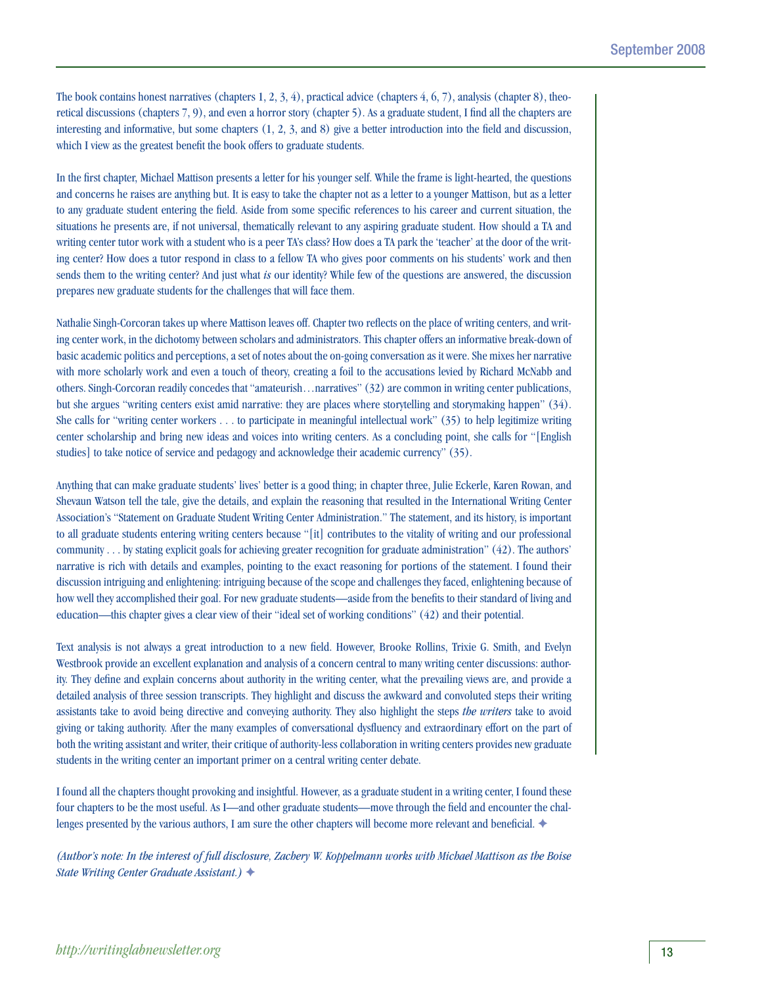The book contains honest narratives (chapters 1, 2, 3, 4), practical advice (chapters 4, 6, 7), analysis (chapter 8), theoretical discussions (chapters 7, 9), and even a horror story (chapter 5). As a graduate student, I find all the chapters are interesting and informative, but some chapters (1, 2, 3, and 8) give a better introduction into the field and discussion, which I view as the greatest benefit the book offers to graduate students.

In the first chapter, Michael Mattison presents a letter for his younger self. While the frame is light-hearted, the questions and concerns he raises are anything but. It is easy to take the chapter not as a letter to a younger Mattison, but as a letter to any graduate student entering the field. Aside from some specific references to his career and current situation, the situations he presents are, if not universal, thematically relevant to any aspiring graduate student. How should a TA and writing center tutor work with a student who is a peer TA's class? How does a TA park the 'teacher' at the door of the writing center? How does a tutor respond in class to a fellow TA who gives poor comments on his students' work and then sends them to the writing center? And just what *is* our identity? While few of the questions are answered, the discussion prepares new graduate students for the challenges that will face them.

Nathalie Singh-Corcoran takes up where Mattison leaves off. Chapter two reflects on the place of writing centers, and writing center work, in the dichotomy between scholars and administrators. This chapter offers an informative break-down of basic academic politics and perceptions, a set of notes about the on-going conversation as it were. She mixes her narrative with more scholarly work and even a touch of theory, creating a foil to the accusations levied by Richard McNabb and others. Singh-Corcoran readily concedes that "amateurish…narratives" (32) are common in writing center publications, but she argues "writing centers exist amid narrative: they are places where storytelling and storymaking happen" (34). She calls for "writing center workers . . . to participate in meaningful intellectual work" (35) to help legitimize writing center scholarship and bring new ideas and voices into writing centers. As a concluding point, she calls for "[English studies] to take notice of service and pedagogy and acknowledge their academic currency" (35).

Anything that can make graduate students' lives' better is a good thing; in chapter three, Julie Eckerle, Karen Rowan, and Shevaun Watson tell the tale, give the details, and explain the reasoning that resulted in the International Writing Center Association's "Statement on Graduate Student Writing Center Administration." The statement, and its history, is important to all graduate students entering writing centers because "[it] contributes to the vitality of writing and our professional community . . . by stating explicit goals for achieving greater recognition for graduate administration" (42). The authors' narrative is rich with details and examples, pointing to the exact reasoning for portions of the statement. I found their discussion intriguing and enlightening: intriguing because of the scope and challenges they faced, enlightening because of how well they accomplished their goal. For new graduate students—aside from the benefits to their standard of living and education—this chapter gives a clear view of their "ideal set of working conditions" (42) and their potential.

Text analysis is not always a great introduction to a new field. However, Brooke Rollins, Trixie G. Smith, and Evelyn Westbrook provide an excellent explanation and analysis of a concern central to many writing center discussions: authority. They define and explain concerns about authority in the writing center, what the prevailing views are, and provide a detailed analysis of three session transcripts. They highlight and discuss the awkward and convoluted steps their writing assistants take to avoid being directive and conveying authority. They also highlight the steps *the writers* take to avoid giving or taking authority. After the many examples of conversational dysfluency and extraordinary effort on the part of both the writing assistant and writer, their critique of authority-less collaboration in writing centers provides new graduate students in the writing center an important primer on a central writing center debate.

I found all the chapters thought provoking and insightful. However, as a graduate student in a writing center, I found these four chapters to be the most useful. As I—and other graduate students—move through the field and encounter the challenges presented by the various authors, I am sure the other chapters will become more relevant and beneficial.  $\blacklozenge$ 

*(Author's note: In the interest of full disclosure, Zachery W. Koppelmann works with Michael Mattison as the Boise State Writing Center Graduate Assistant.)* F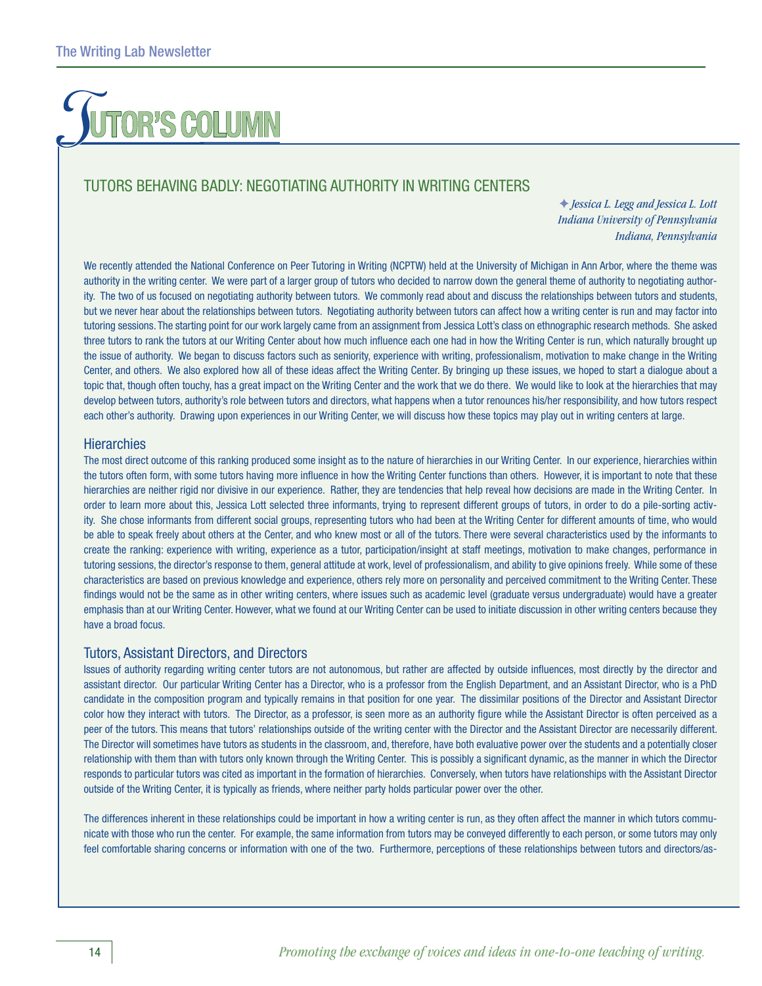# OR'S COLUMN

## Tutors Behaving Badly: Negotiating Authority in Writing Centers

F *Jessica L. Legg and Jessica L. Lott Indiana University of Pennsylvania Indiana, Pennsylvania*

We recently attended the National Conference on Peer Tutoring in Writing (NCPTW) held at the University of Michigan in Ann Arbor, where the theme was authority in the writing center. We were part of a larger group of tutors who decided to narrow down the general theme of authority to negotiating authority. The two of us focused on negotiating authority between tutors. We commonly read about and discuss the relationships between tutors and students, but we never hear about the relationships between tutors. Negotiating authority between tutors can affect how a writing center is run and may factor into tutoring sessions. The starting point for our work largely came from an assignment from Jessica Lott's class on ethnographic research methods. She asked three tutors to rank the tutors at our Writing Center about how much influence each one had in how the Writing Center is run, which naturally brought up the issue of authority. We began to discuss factors such as seniority, experience with writing, professionalism, motivation to make change in the Writing Center, and others. We also explored how all of these ideas affect the Writing Center. By bringing up these issues, we hoped to start a dialogue about a topic that, though often touchy, has a great impact on the Writing Center and the work that we do there. We would like to look at the hierarchies that may develop between tutors, authority's role between tutors and directors, what happens when a tutor renounces his/her responsibility, and how tutors respect each other's authority. Drawing upon experiences in our Writing Center, we will discuss how these topics may play out in writing centers at large.

### **Hierarchies**

The most direct outcome of this ranking produced some insight as to the nature of hierarchies in our Writing Center. In our experience, hierarchies within the tutors often form, with some tutors having more influence in how the Writing Center functions than others. However, it is important to note that these hierarchies are neither rigid nor divisive in our experience. Rather, they are tendencies that help reveal how decisions are made in the Writing Center. In order to learn more about this, Jessica Lott selected three informants, trying to represent different groups of tutors, in order to do a pile-sorting activity. She chose informants from different social groups, representing tutors who had been at the Writing Center for different amounts of time, who would be able to speak freely about others at the Center, and who knew most or all of the tutors. There were several characteristics used by the informants to create the ranking: experience with writing, experience as a tutor, participation/insight at staff meetings, motivation to make changes, performance in tutoring sessions, the director's response to them, general attitude at work, level of professionalism, and ability to give opinions freely. While some of these characteristics are based on previous knowledge and experience, others rely more on personality and perceived commitment to the Writing Center. These findings would not be the same as in other writing centers, where issues such as academic level (graduate versus undergraduate) would have a greater emphasis than at our Writing Center. However, what we found at our Writing Center can be used to initiate discussion in other writing centers because they have a broad focus.

### Tutors, Assistant Directors, and Directors

Issues of authority regarding writing center tutors are not autonomous, but rather are affected by outside influences, most directly by the director and assistant director. Our particular Writing Center has a Director, who is a professor from the English Department, and an Assistant Director, who is a PhD candidate in the composition program and typically remains in that position for one year. The dissimilar positions of the Director and Assistant Director color how they interact with tutors. The Director, as a professor, is seen more as an authority figure while the Assistant Director is often perceived as a peer of the tutors. This means that tutors' relationships outside of the writing center with the Director and the Assistant Director are necessarily different. The Director will sometimes have tutors as students in the classroom, and, therefore, have both evaluative power over the students and a potentially closer relationship with them than with tutors only known through the Writing Center. This is possibly a significant dynamic, as the manner in which the Director responds to particular tutors was cited as important in the formation of hierarchies. Conversely, when tutors have relationships with the Assistant Director outside of the Writing Center, it is typically as friends, where neither party holds particular power over the other.

The differences inherent in these relationships could be important in how a writing center is run, as they often affect the manner in which tutors communicate with those who run the center. For example, the same information from tutors may be conveyed differently to each person, or some tutors may only feel comfortable sharing concerns or information with one of the two. Furthermore, perceptions of these relationships between tutors and directors/as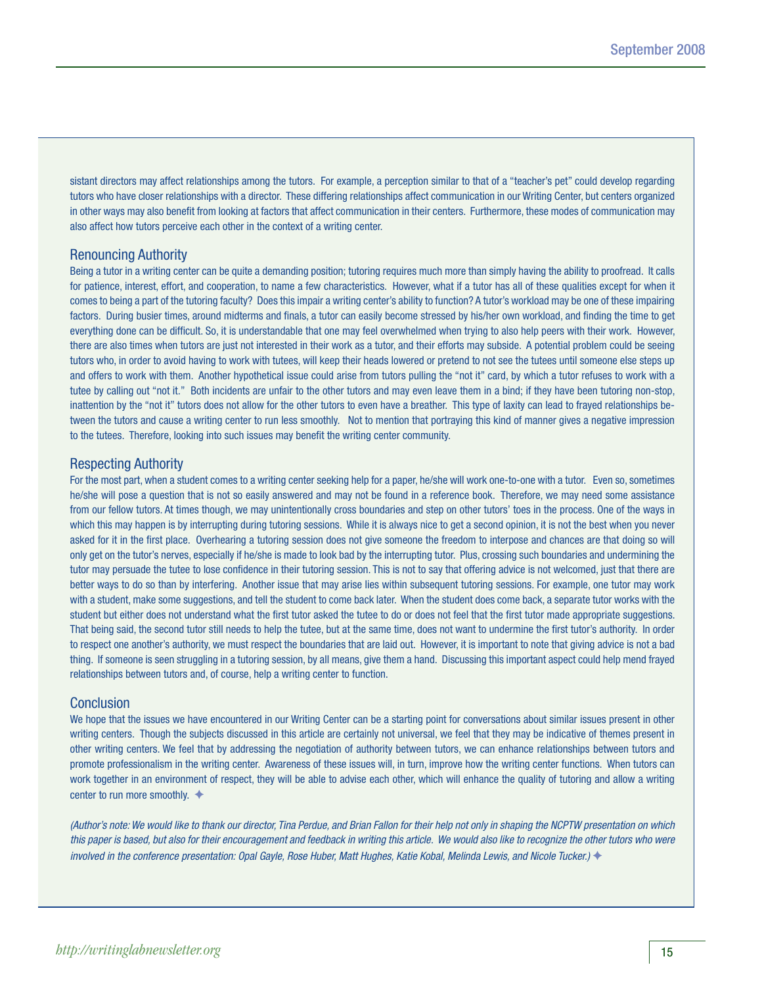sistant directors may affect relationships among the tutors. For example, a perception similar to that of a "teacher's pet" could develop regarding tutors who have closer relationships with a director. These differing relationships affect communication in our Writing Center, but centers organized in other ways may also benefit from looking at factors that affect communication in their centers. Furthermore, these modes of communication may also affect how tutors perceive each other in the context of a writing center.

### Renouncing Authority

Being a tutor in a writing center can be quite a demanding position; tutoring requires much more than simply having the ability to proofread. It calls for patience, interest, effort, and cooperation, to name a few characteristics. However, what if a tutor has all of these qualities except for when it comes to being a part of the tutoring faculty? Does this impair a writing center's ability to function? A tutor's workload may be one of these impairing factors. During busier times, around midterms and finals, a tutor can easily become stressed by his/her own workload, and finding the time to get everything done can be difficult. So, it is understandable that one may feel overwhelmed when trying to also help peers with their work. However, there are also times when tutors are just not interested in their work as a tutor, and their efforts may subside. A potential problem could be seeing tutors who, in order to avoid having to work with tutees, will keep their heads lowered or pretend to not see the tutees until someone else steps up and offers to work with them. Another hypothetical issue could arise from tutors pulling the "not it" card, by which a tutor refuses to work with a tutee by calling out "not it." Both incidents are unfair to the other tutors and may even leave them in a bind; if they have been tutoring non-stop, inattention by the "not it" tutors does not allow for the other tutors to even have a breather. This type of laxity can lead to frayed relationships between the tutors and cause a writing center to run less smoothly. Not to mention that portraying this kind of manner gives a negative impression to the tutees. Therefore, looking into such issues may benefit the writing center community.

### Respecting Authority

For the most part, when a student comes to a writing center seeking help for a paper, he/she will work one-to-one with a tutor. Even so, sometimes he/she will pose a question that is not so easily answered and may not be found in a reference book. Therefore, we may need some assistance from our fellow tutors. At times though, we may unintentionally cross boundaries and step on other tutors' toes in the process. One of the ways in which this may happen is by interrupting during tutoring sessions. While it is always nice to get a second opinion, it is not the best when you never asked for it in the first place. Overhearing a tutoring session does not give someone the freedom to interpose and chances are that doing so will only get on the tutor's nerves, especially if he/she is made to look bad by the interrupting tutor. Plus, crossing such boundaries and undermining the tutor may persuade the tutee to lose confidence in their tutoring session. This is not to say that offering advice is not welcomed, just that there are better ways to do so than by interfering. Another issue that may arise lies within subsequent tutoring sessions. For example, one tutor may work with a student, make some suggestions, and tell the student to come back later. When the student does come back, a separate tutor works with the student but either does not understand what the first tutor asked the tutee to do or does not feel that the first tutor made appropriate suggestions. That being said, the second tutor still needs to help the tutee, but at the same time, does not want to undermine the first tutor's authority. In order to respect one another's authority, we must respect the boundaries that are laid out. However, it is important to note that giving advice is not a bad thing. If someone is seen struggling in a tutoring session, by all means, give them a hand. Discussing this important aspect could help mend frayed relationships between tutors and, of course, help a writing center to function.

### Conclusion

We hope that the issues we have encountered in our Writing Center can be a starting point for conversations about similar issues present in other writing centers. Though the subjects discussed in this article are certainly not universal, we feel that they may be indicative of themes present in other writing centers. We feel that by addressing the negotiation of authority between tutors, we can enhance relationships between tutors and promote professionalism in the writing center. Awareness of these issues will, in turn, improve how the writing center functions. When tutors can work together in an environment of respect, they will be able to advise each other, which will enhance the quality of tutoring and allow a writing center to run more smoothly.  $\triangleleft$ 

*(Author's note: We would like to thank our director, Tina Perdue, and Brian Fallon for their help not only in shaping the NCPTW presentation on which this paper is based, but also for their encouragement and feedback in writing this article. We would also like to recognize the other tutors who were involved in the conference presentation: Opal Gayle, Rose Huber, Matt Hughes, Katie Kobal, Melinda Lewis, and Nicole Tucker.)* ◆